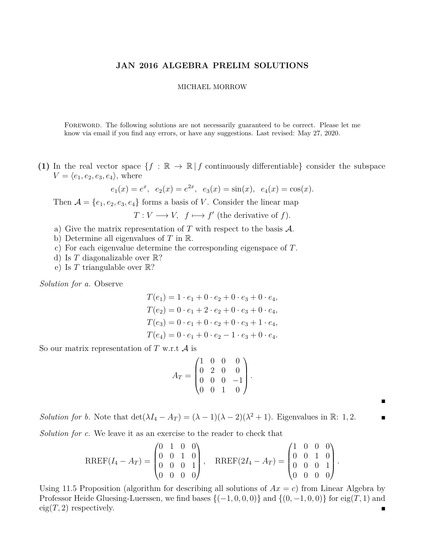## **JAN 2016 ALGEBRA PRELIM SOLUTIONS**

## MICHAEL MORROW

Foreword. The following solutions are not necessarily guaranteed to be correct. Please let me know via email if you find any errors, or have any suggestions. Last revised: May 27, 2020.

**(1)** In the real vector space  $\{f : \mathbb{R} \to \mathbb{R} \mid f \text{ continuously differentiable}\}$  consider the subspace  $V = \langle e_1, e_2, e_3, e_4 \rangle$ , where

$$
e_1(x) = e^x
$$
,  $e_2(x) = e^{2x}$ ,  $e_3(x) = \sin(x)$ ,  $e_4(x) = \cos(x)$ .

Then  $\mathcal{A} = \{e_1, e_2, e_3, e_4\}$  forms a basis of *V*. Consider the linear map

 $T: V \longrightarrow V$ ,  $f \longmapsto f'$  (the derivative of *f*).

- a) Give the matrix representation of  $T$  with respect to the basis  $\mathcal{A}$ .
- b) Determine all eigenvalues of *T* in R.
- c) For each eigenvalue determine the corresponding eigenspace of *T*.
- d) Is *T* diagonalizable over R?
- e) Is *T* triangulable over R?

*Solution for a.* Observe

$$
T(e_1) = 1 \cdot e_1 + 0 \cdot e_2 + 0 \cdot e_3 + 0 \cdot e_4,
$$
  
\n
$$
T(e_2) = 0 \cdot e_1 + 2 \cdot e_2 + 0 \cdot e_3 + 0 \cdot e_4,
$$
  
\n
$$
T(e_3) = 0 \cdot e_1 + 0 \cdot e_2 + 0 \cdot e_3 + 1 \cdot e_4,
$$
  
\n
$$
T(e_4) = 0 \cdot e_1 + 0 \cdot e_2 - 1 \cdot e_3 + 0 \cdot e_4.
$$

So our matrix representation of  $T$  w.r.t  $A$  is

$$
A_T = \begin{pmatrix} 1 & 0 & 0 & 0 \\ 0 & 2 & 0 & 0 \\ 0 & 0 & 0 & -1 \\ 0 & 0 & 1 & 0 \end{pmatrix}
$$

*.*

 $\blacksquare$ 

*Solution for b.* Note that  $\det(\lambda I_4 - A_T) = (\lambda - 1)(\lambda - 2)(\lambda^2 + 1)$ . Eigenvalues in R: 1, 2.

*Solution for c.* We leave it as an exercise to the reader to check that

$$
RREF(I_4-A_T)=\begin{pmatrix} 0 & 1 & 0 & 0 \\ 0 & 0 & 1 & 0 \\ 0 & 0 & 0 & 1 \\ 0 & 0 & 0 & 0 \end{pmatrix}, \quad RREF(2I_4-A_T)=\begin{pmatrix} 1 & 0 & 0 & 0 \\ 0 & 0 & 1 & 0 \\ 0 & 0 & 0 & 1 \\ 0 & 0 & 0 & 0 \end{pmatrix}.
$$

Using 11.5 Proposition (algorithm for describing all solutions of  $Ax = c$ ) from Linear Algebra by Professor Heide Gluesing-Luerssen, we find bases  $\{(-1, 0, 0, 0)\}$  and  $\{(0, -1, 0, 0)\}$  for eig(*T*, 1) and  $\text{eig}(T, 2)$  respectively.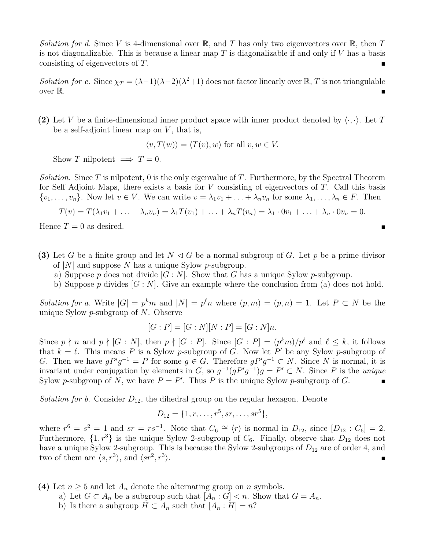*Solution for d.* Since V is 4-dimensional over  $\mathbb{R}$ , and T has only two eigenvectors over  $\mathbb{R}$ , then T is not diagonalizable. This is because a linear map *T* is diagonalizable if and only if *V* has a basis consisting of eigenvectors of *T*.

*Solution for e.* Since  $\chi_T = (\lambda - 1)(\lambda - 2)(\lambda^2 + 1)$  does not factor linearly over  $\mathbb{R}, T$  is not triangulable over  $\mathbb{R}$ .

**(2)** Let *V* be a finite-dimensional inner product space with inner product denoted by  $\langle \cdot, \cdot \rangle$ . Let *T* be a self-adjoint linear map on *V* , that is,

 $\langle v, T(w) \rangle = \langle T(v), w \rangle$  for all  $v, w \in V$ .

Show *T* nilpotent  $\implies$  *T* = 0.

*Solution.* Since *T* is nilpotent, 0 is the only eigenvalue of *T*. Furthermore, by the Spectral Theorem for Self Adjoint Maps, there exists a basis for *V* consisting of eigenvectors of *T*. Call this basis  $\{v_1, \ldots, v_n\}$ . Now let  $v \in V$ . We can write  $v = \lambda_1 v_1 + \ldots + \lambda_n v_n$  for some  $\lambda_1, \ldots, \lambda_n \in F$ . Then

$$
T(v) = T(\lambda_1 v_1 + \ldots + \lambda_n v_n) = \lambda_1 T(v_1) + \ldots + \lambda_n T(v_n) = \lambda_1 \cdot 0 v_1 + \ldots + \lambda_n \cdot 0 v_n = 0.
$$

Hence  $T = 0$  as desired.

- **(3)** Let *G* be a finite group and let  $N \triangleleft G$  be a normal subgroup of *G*. Let *p* be a prime divisor of |*N*| and suppose *N* has a unique Sylow *p*-subgroup.
	- a) Suppose *p* does not divide [*G* : *N*]. Show that *G* has a unique Sylow *p*-subgroup.
	- b) Suppose p divides  $[G: N]$ . Give an example where the conclusion from (a) does not hold.

*Solution for a.* Write  $|G| = p^k m$  and  $|N| = p^{\ell} n$  where  $(p, m) = (p, n) = 1$ . Let  $P \subset N$  be the unique Sylow *p*-subgroup of *N*. Observe

$$
[G : P] = [G : N][N : P] = [G : N]n.
$$

Since  $p \nmid n$  and  $p \nmid [G : N]$ , then  $p \nmid [G : P]$ . Since  $[G : P] = (p^k m)/p^\ell$  and  $\ell \leq k$ , it follows that  $k = \ell$ . This means *P* is a Sylow *p*-subgroup of *G*. Now let *P*<sup> $\prime$ </sup> be any Sylow *p*-subgroup of *G*. Then we have  $gP'g^{-1} = P$  for some  $g \in G$ . Therefore  $gP'g^{-1} \subset N$ . Since *N* is normal, it is invariant under conjugation by elements in *G*, so  $g^{-1}(gP'g^{-1})g = P' \subset N$ . Since *P* is the *unique* Sylow *p*-subgroup of *N*, we have  $P = P'$ . Thus *P* is the unique Sylow *p*-subgroup of *G*.

*Solution for b.* Consider  $D_{12}$ , the dihedral group on the regular hexagon. Denote

$$
D_{12} = \{1, r, \ldots, r^5, sr, \ldots, sr^5\},\
$$

where  $r^6 = s^2 = 1$  and  $sr = rs^{-1}$ . Note that  $C_6 \cong \langle r \rangle$  is normal in  $D_{12}$ , since  $[D_{12} : C_6] = 2$ . Furthermore,  $\{1, r^3\}$  is the unique Sylow 2-subgroup of  $C_6$ . Finally, observe that  $D_{12}$  does not have a unique Sylow 2-subgroup. This is because the Sylow 2-subgroups of  $D_{12}$  are of order 4, and two of them are  $\langle s, r^3 \rangle$ , and  $\langle sr^2, r^3 \rangle$  $\Big\rangle.$ 

**(4)** Let  $n \geq 5$  and let  $A_n$  denote the alternating group on *n* symbols.

- a) Let  $G \subset A_n$  be a subgroup such that  $[A_n : G] < n$ . Show that  $G = A_n$ .
- b) Is there a subgroup  $H \subset A_n$  such that  $[A_n : H] = n$ ?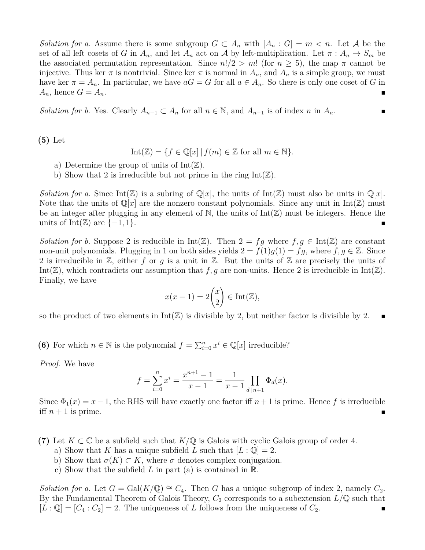*Solution for a.* Assume there is some subgroup  $G \subset A_n$  with  $[A_n : G] = m \lt n$ . Let A be the set of all left cosets of *G* in  $A_n$ , and let  $A_n$  act on A by left-multiplication. Let  $\pi : A_n \to S_m$  be the associated permutation representation. Since  $n!/2 > m!$  (for  $n \geq 5$ ), the map  $\pi$  cannot be injective. Thus ker  $\pi$  is nontrivial. Since ker  $\pi$  is normal in  $A_n$ , and  $A_n$  is a simple group, we must have ker  $\pi = A_n$ . In particular, we have  $aG = G$  for all  $a \in A_n$ . So there is only one coset of *G* in  $A_n$ , hence  $G = A_n$ .

*Solution for b.* Yes. Clearly  $A_{n-1} \subset A_n$  for all  $n \in \mathbb{N}$ , and  $A_{n-1}$  is of index *n* in  $A_n$ .

**(5)** Let

$$
Int(\mathbb{Z}) = \{ f \in \mathbb{Q}[x] \mid f(m) \in \mathbb{Z} \text{ for all } m \in \mathbb{N} \}.
$$

- a) Determine the group of units of  $Int(\mathbb{Z})$ .
- b) Show that 2 is irreducible but not prime in the ring  $Int(\mathbb{Z})$ .

*Solution for a.* Since  $Int(\mathbb{Z})$  is a subring of  $\mathbb{Q}[x]$ , the units of  $Int(\mathbb{Z})$  must also be units in  $\mathbb{Q}[x]$ . Note that the units of  $\mathbb{Q}[x]$  are the nonzero constant polynomials. Since any unit in  $\text{Int}(\mathbb{Z})$  must be an integer after plugging in any element of  $\mathbb{N}$ , the units of  $Int(\mathbb{Z})$  must be integers. Hence the units of Int $(\mathbb{Z})$  are  $\{-1,1\}.$ 

*Solution for b.* Suppose 2 is reducible in  $Int(\mathbb{Z})$ . Then  $2 = fg$  where  $f, g \in Int(\mathbb{Z})$  are constant non-unit polynomials. Plugging in 1 on both sides yields  $2 = f(1)g(1) = fg$ , where  $f, g \in \mathbb{Z}$ . Since 2 is irreducible in Z, either *f* or *g* is a unit in Z. But the units of Z are precisely the units of Int( $\mathbb{Z}$ ), which contradicts our assumption that *f*, *g* are non-units. Hence 2 is irreducible in Int( $\mathbb{Z}$ ). Finally, we have

$$
x(x-1) = 2\binom{x}{2} \in \text{Int}(\mathbb{Z}),
$$

so the product of two elements in  $Int(\mathbb{Z})$  is divisible by 2, but neither factor is divisible by 2.

**(6)** For which  $n \in \mathbb{N}$  is the polynomial  $f = \sum_{i=0}^{n} x^{i} \in \mathbb{Q}[x]$  irreducible?

*Proof.* We have

$$
f = \sum_{i=0}^{n} x^{i} = \frac{x^{n+1} - 1}{x - 1} = \frac{1}{x - 1} \prod_{d|n+1} \Phi_d(x).
$$

Since  $\Phi_1(x) = x - 1$ , the RHS will have exactly one factor iff  $n+1$  is prime. Hence f is irreducible iff  $n+1$  is prime.

**(7)** Let *K* ⊂ C be a subfield such that *K/*Q is Galois with cyclic Galois group of order 4.

- a) Show that *K* has a unique subfield *L* such that  $[L: \mathbb{Q}] = 2$ .
- b) Show that  $\sigma(K) \subset K$ , where  $\sigma$  denotes complex conjugation.
- c) Show that the subfield *L* in part (a) is contained in R.

*Solution for a.* Let  $G = \text{Gal}(K/\mathbb{Q}) \cong C_4$ . Then *G* has a unique subgroup of index 2, namely  $C_2$ . By the Fundamental Theorem of Galois Theory,  $C_2$  corresponds to a subextension  $L/\mathbb{Q}$  such that  $[L:\mathbb{Q}]=[C_4:C_2]=2.$  The uniqueness of *L* follows from the uniqueness of  $C_2$ .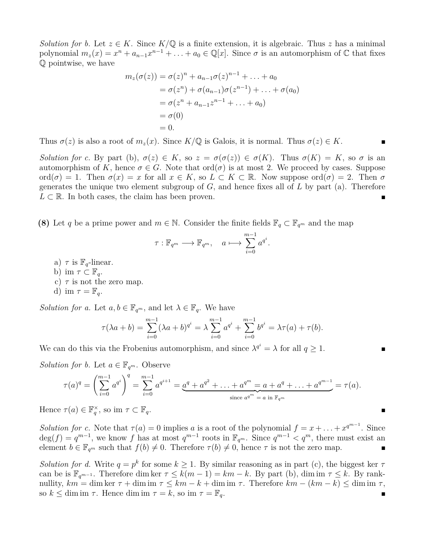*Solution for b.* Let  $z \in K$ . Since  $K/\mathbb{Q}$  is a finite extension, it is algebraic. Thus *z* has a minimal polynomial  $m_z(x) = x^n + a_{n-1}x^{n-1} + \ldots + a_0 \in \mathbb{Q}[x]$ . Since  $\sigma$  is an automorphism of  $\mathbb C$  that fixes Q pointwise, we have

$$
m_z(\sigma(z)) = \sigma(z)^n + a_{n-1}\sigma(z)^{n-1} + \dots + a_0
$$
  
=  $\sigma(z^n) + \sigma(a_{n-1})\sigma(z^{n-1}) + \dots + \sigma(a_0)$   
=  $\sigma(z^n + a_{n-1}z^{n-1} + \dots + a_0)$   
=  $\sigma(0)$   
= 0.

Thus  $\sigma(z)$  is also a root of  $m_z(x)$ . Since  $K/\mathbb{Q}$  is Galois, it is normal. Thus  $\sigma(z) \in K$ .

*Solution for c.* By part (b),  $\sigma(z) \in K$ , so  $z = \sigma(\sigma(z)) \in \sigma(K)$ . Thus  $\sigma(K) = K$ , so  $\sigma$  is an automorphism of *K*, hence  $\sigma \in G$ . Note that  $\text{ord}(\sigma)$  is at most 2. We proceed by cases. Suppose ord( $\sigma$ ) = 1. Then  $\sigma(x) = x$  for all  $x \in K$ , so  $L \subset K \subset \mathbb{R}$ . Now suppose ord( $\sigma$ ) = 2. Then  $\sigma$ generates the unique two element subgroup of *G*, and hence fixes all of *L* by part (a). Therefore  $L \subset \mathbb{R}$ . In both cases, the claim has been proven.

**(8)** Let *q* be a prime power and  $m \in \mathbb{N}$ . Consider the finite fields  $\mathbb{F}_q \subset \mathbb{F}_{q^m}$  and the map

$$
\tau : \mathbb{F}_{q^m} \longrightarrow \mathbb{F}_{q^m}, \quad a \longmapsto \sum_{i=0}^{m-1} a^{q^i}.
$$

- a)  $\tau$  is  $\mathbb{F}_q$ -linear.
- b) im  $\tau \subset \mathbb{F}_q$ .
- c)  $\tau$  is not the zero map.

d) im 
$$
\tau = \mathbb{F}_q
$$
.

*Solution for a.* Let  $a, b \in \mathbb{F}_{q^m}$ , and let  $\lambda \in \mathbb{F}_{q}$ . We have

$$
\tau(\lambda a + b) = \sum_{i=0}^{m-1} (\lambda a + b)^{q^i} = \lambda \sum_{i=0}^{m-1} a^{q^i} + \sum_{i=0}^{m-1} b^{q^i} = \lambda \tau(a) + \tau(b).
$$

We can do this via the Frobenius automorphism, and since  $\lambda^{q^i} = \lambda$  for all  $q \ge 1$ .

*Solution for b.* Let  $a \in \mathbb{F}_{q^m}$ . Observe

$$
\tau(a)^q = \left(\sum_{i=0}^{m-1} a^{q^i}\right)^q = \sum_{i=0}^{m-1} a^{q^{i+1}} = \underbrace{a^q + a^{q^2} + \ldots + a^{q^m}}_{\text{since } a^{q^m} = a \text{ in } \mathbb{F}_{q^m}} = \tau(a).
$$

Hence  $\tau(a) \in \mathbb{F}_q^{\times}$ , so im  $\tau \subset \mathbb{F}_q$ .

*Solution for c.* Note that  $\tau(a) = 0$  implies *a* is a root of the polynomial  $f = x + \ldots + x^{q^{m-1}}$ . Since  $deg(f) = q^{m-1}$ , we know f has at most  $q^{m-1}$  roots in  $\mathbb{F}_{q^m}$ . Since  $q^{m-1} < q^m$ , there must exist an element  $b \in \mathbb{F}_{q^m}$  such that  $f(b) \neq 0$ . Therefore  $\tau(b) \neq 0$ , hence  $\tau$  is not the zero map.

*Solution for d.* Write  $q = p^k$  for some  $k \ge 1$ . By similar reasoning as in part (c), the biggest ker  $\tau$ can be is  $\mathbb{F}_{q^{m-1}}$ . Therefore dim ker  $\tau \leq k(m-1) = km - k$ . By part (b), dim im  $\tau \leq k$ . By ranknullity, *km* = dim ker *τ* + dim im *τ* ≤ *km* − *k* + dim im *τ* . Therefore *km* − (*km* − *k*) ≤ dim im *τ* , so  $k \leq \dim \mathrm{im} \tau$ . Hence  $\dim \mathrm{im} \tau = k$ , so  $\mathrm{im} \tau = \mathbb{F}_q$ .